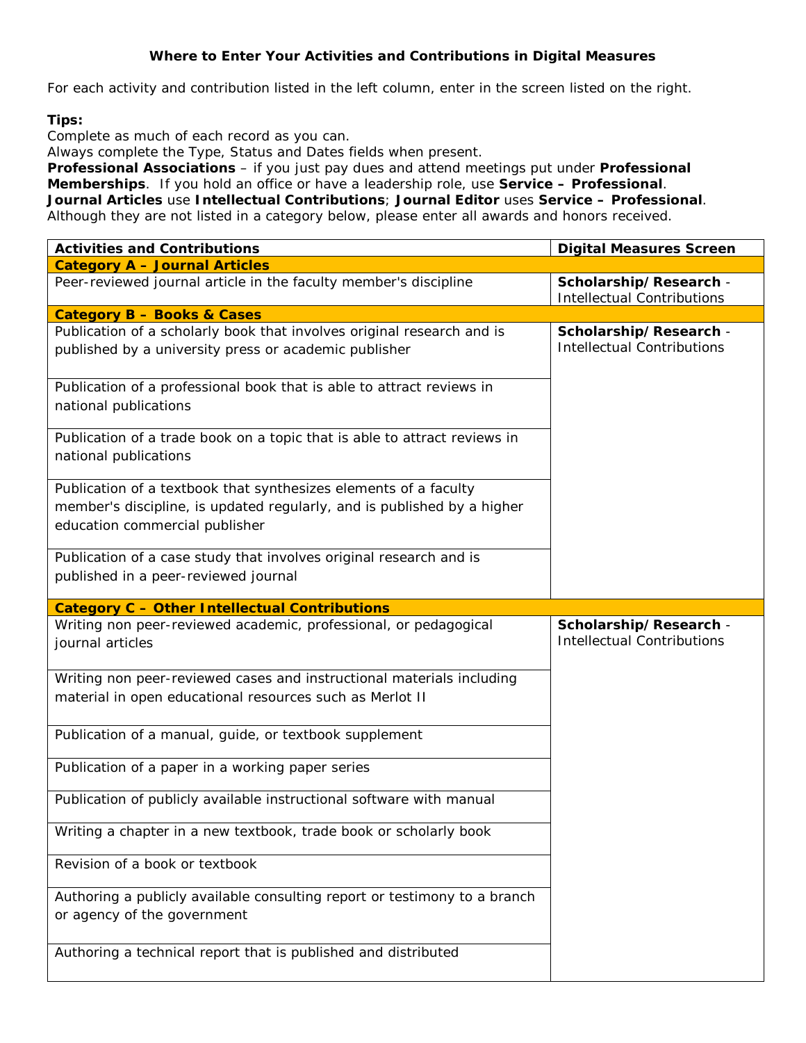## **Where to Enter Your Activities and Contributions in Digital Measures**

For each activity and contribution listed in the left column, enter in the screen listed on the right.

## **Tips:**

Complete as much of each record as you can.

Always complete the Type, Status and Dates fields when present.

**Professional Associations** – if you just pay dues and attend meetings put under **Professional Memberships**. If you hold an office or have a leadership role, use **Service – Professional**. **Journal Articles** use **Intellectual Contributions**; **Journal Editor** uses **Service – Professional**. Although they are not listed in a category below, please enter all awards and honors received.

| <b>Activities and Contributions</b>                                                                                                                                           | <b>Digital Measures Screen</b>                              |
|-------------------------------------------------------------------------------------------------------------------------------------------------------------------------------|-------------------------------------------------------------|
| <b>Category A - Journal Articles</b>                                                                                                                                          |                                                             |
| Peer-reviewed journal article in the faculty member's discipline                                                                                                              | Scholarship/Research -<br><b>Intellectual Contributions</b> |
| <b>Category B - Books &amp; Cases</b>                                                                                                                                         |                                                             |
| Publication of a scholarly book that involves original research and is<br>published by a university press or academic publisher                                               | Scholarship/Research -<br><b>Intellectual Contributions</b> |
| Publication of a professional book that is able to attract reviews in<br>national publications                                                                                |                                                             |
| Publication of a trade book on a topic that is able to attract reviews in<br>national publications                                                                            |                                                             |
| Publication of a textbook that synthesizes elements of a faculty<br>member's discipline, is updated regularly, and is published by a higher<br>education commercial publisher |                                                             |
| Publication of a case study that involves original research and is<br>published in a peer-reviewed journal                                                                    |                                                             |
| <b>Category C - Other Intellectual Contributions</b>                                                                                                                          |                                                             |
| Writing non peer-reviewed academic, professional, or pedagogical<br>journal articles                                                                                          | Scholarship/Research -<br><b>Intellectual Contributions</b> |
| Writing non peer-reviewed cases and instructional materials including<br>material in open educational resources such as Merlot II                                             |                                                             |
| Publication of a manual, guide, or textbook supplement                                                                                                                        |                                                             |
| Publication of a paper in a working paper series                                                                                                                              |                                                             |
| Publication of publicly available instructional software with manual                                                                                                          |                                                             |
| Writing a chapter in a new textbook, trade book or scholarly book                                                                                                             |                                                             |
| Revision of a book or textbook                                                                                                                                                |                                                             |
| Authoring a publicly available consulting report or testimony to a branch<br>or agency of the government                                                                      |                                                             |
| Authoring a technical report that is published and distributed                                                                                                                |                                                             |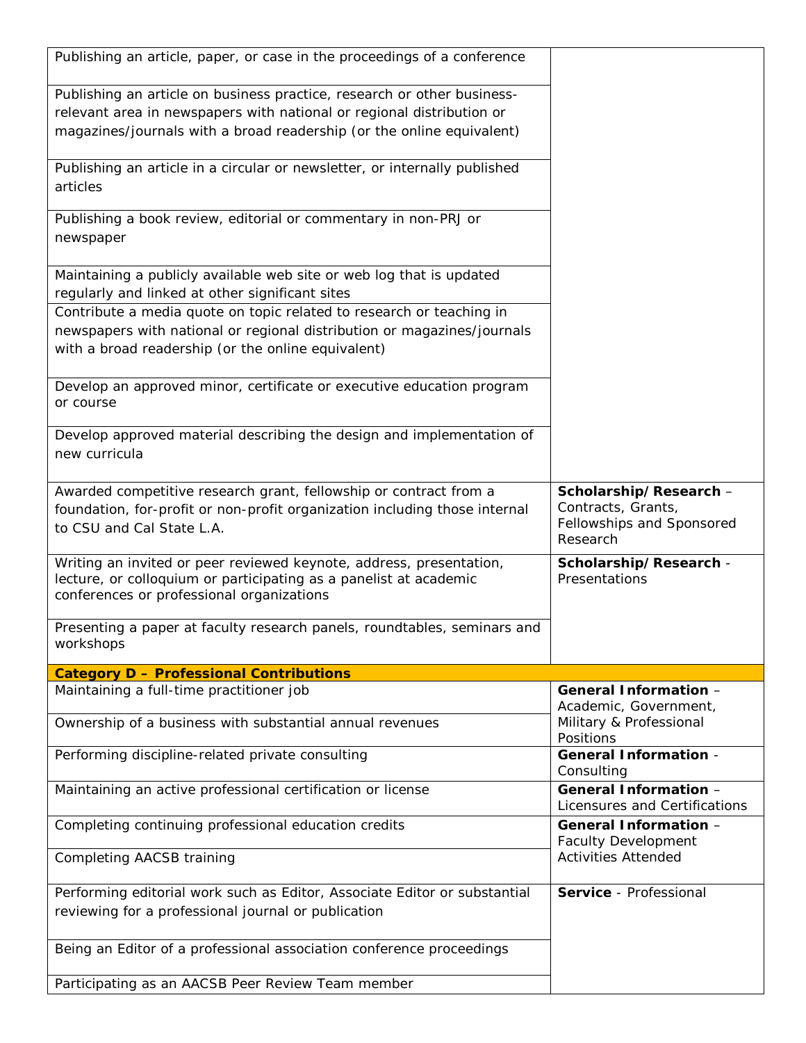| Publishing an article, paper, or case in the proceedings of a conference                                                                                                                                                  |                                                                                      |
|---------------------------------------------------------------------------------------------------------------------------------------------------------------------------------------------------------------------------|--------------------------------------------------------------------------------------|
| Publishing an article on business practice, research or other business-<br>relevant area in newspapers with national or regional distribution or<br>magazines/journals with a broad readership (or the online equivalent) |                                                                                      |
| Publishing an article in a circular or newsletter, or internally published<br>articles                                                                                                                                    |                                                                                      |
| Publishing a book review, editorial or commentary in non-PRJ or<br>newspaper                                                                                                                                              |                                                                                      |
| Maintaining a publicly available web site or web log that is updated<br>regularly and linked at other significant sites                                                                                                   |                                                                                      |
| Contribute a media quote on topic related to research or teaching in<br>newspapers with national or regional distribution or magazines/journals<br>with a broad readership (or the online equivalent)                     |                                                                                      |
| Develop an approved minor, certificate or executive education program<br>or course                                                                                                                                        |                                                                                      |
| Develop approved material describing the design and implementation of<br>new curricula                                                                                                                                    |                                                                                      |
| Awarded competitive research grant, fellowship or contract from a<br>foundation, for-profit or non-profit organization including those internal<br>to CSU and Cal State L.A.                                              | Scholarship/Research-<br>Contracts, Grants,<br>Fellowships and Sponsored<br>Research |
| Writing an invited or peer reviewed keynote, address, presentation,<br>lecture, or colloquium or participating as a panelist at academic<br>conferences or professional organizations                                     | Scholarship/Research -<br>Presentations                                              |
| Presenting a paper at faculty research panels, roundtables, seminars and<br>workshops                                                                                                                                     |                                                                                      |
| <b>Category D - Professional Contributions</b>                                                                                                                                                                            |                                                                                      |
| Maintaining a full-time practitioner job                                                                                                                                                                                  | General Information -<br>Academic, Government,                                       |
| Ownership of a business with substantial annual revenues                                                                                                                                                                  | Military & Professional<br>Positions                                                 |
| Performing discipline-related private consulting                                                                                                                                                                          | <b>General Information -</b><br>Consulting                                           |
| Maintaining an active professional certification or license                                                                                                                                                               | General Information -<br>Licensures and Certifications                               |
| Completing continuing professional education credits                                                                                                                                                                      | General Information -<br><b>Faculty Development</b>                                  |
| <b>Completing AACSB training</b>                                                                                                                                                                                          | <b>Activities Attended</b>                                                           |
| Performing editorial work such as Editor, Associate Editor or substantial<br>reviewing for a professional journal or publication                                                                                          | Service - Professional                                                               |
| Being an Editor of a professional association conference proceedings                                                                                                                                                      |                                                                                      |
| Participating as an AACSB Peer Review Team member                                                                                                                                                                         |                                                                                      |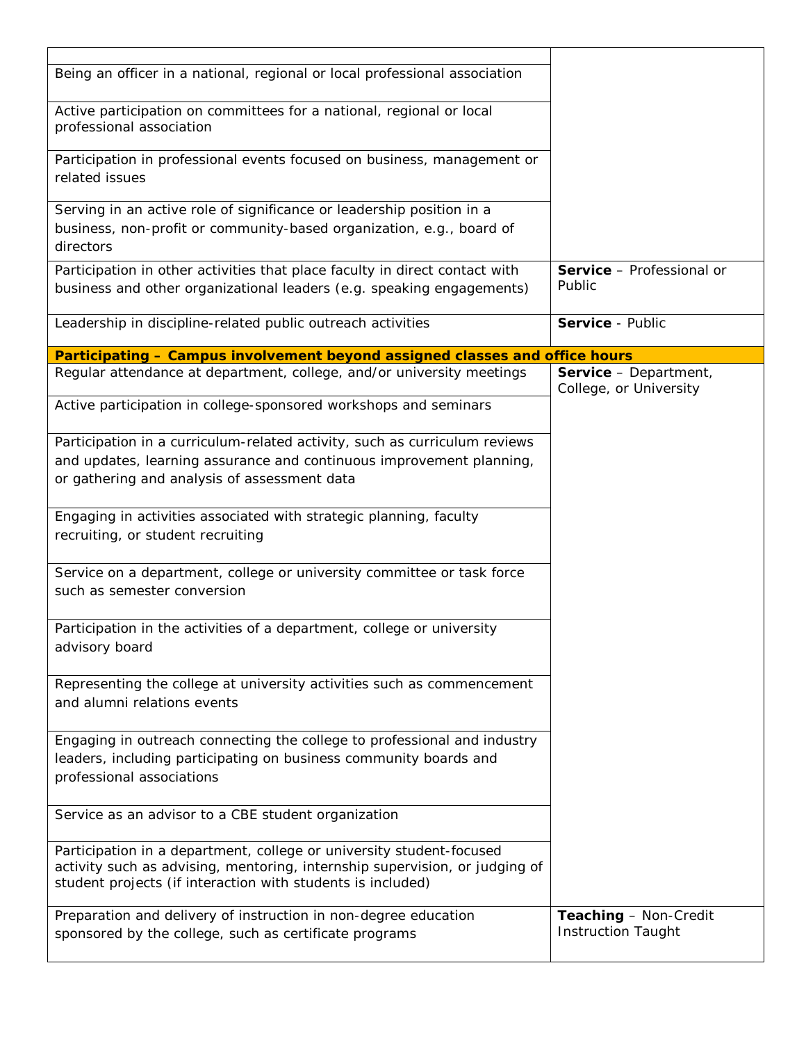| Being an officer in a national, regional or local professional association                                                                                                                                         |                                                 |
|--------------------------------------------------------------------------------------------------------------------------------------------------------------------------------------------------------------------|-------------------------------------------------|
| Active participation on committees for a national, regional or local<br>professional association                                                                                                                   |                                                 |
| Participation in professional events focused on business, management or<br>related issues                                                                                                                          |                                                 |
| Serving in an active role of significance or leadership position in a<br>business, non-profit or community-based organization, e.g., board of<br>directors                                                         |                                                 |
| Participation in other activities that place faculty in direct contact with<br>business and other organizational leaders (e.g. speaking engagements)                                                               | Service - Professional or<br>Public             |
| Leadership in discipline-related public outreach activities                                                                                                                                                        | Service - Public                                |
| Participating - Campus involvement beyond assigned classes and office hours                                                                                                                                        |                                                 |
| Regular attendance at department, college, and/or university meetings                                                                                                                                              | Service - Department,<br>College, or University |
| Active participation in college-sponsored workshops and seminars                                                                                                                                                   |                                                 |
| Participation in a curriculum-related activity, such as curriculum reviews                                                                                                                                         |                                                 |
| and updates, learning assurance and continuous improvement planning,                                                                                                                                               |                                                 |
| or gathering and analysis of assessment data                                                                                                                                                                       |                                                 |
| Engaging in activities associated with strategic planning, faculty<br>recruiting, or student recruiting                                                                                                            |                                                 |
| Service on a department, college or university committee or task force<br>such as semester conversion                                                                                                              |                                                 |
| Participation in the activities of a department, college or university<br>advisory board                                                                                                                           |                                                 |
| Representing the college at university activities such as commencement<br>and alumni relations events                                                                                                              |                                                 |
| Engaging in outreach connecting the college to professional and industry<br>leaders, including participating on business community boards and<br>professional associations                                         |                                                 |
| Service as an advisor to a CBE student organization                                                                                                                                                                |                                                 |
| Participation in a department, college or university student-focused<br>activity such as advising, mentoring, internship supervision, or judging of<br>student projects (if interaction with students is included) |                                                 |
| Preparation and delivery of instruction in non-degree education                                                                                                                                                    | Teaching - Non-Credit                           |
| sponsored by the college, such as certificate programs                                                                                                                                                             | <b>Instruction Taught</b>                       |